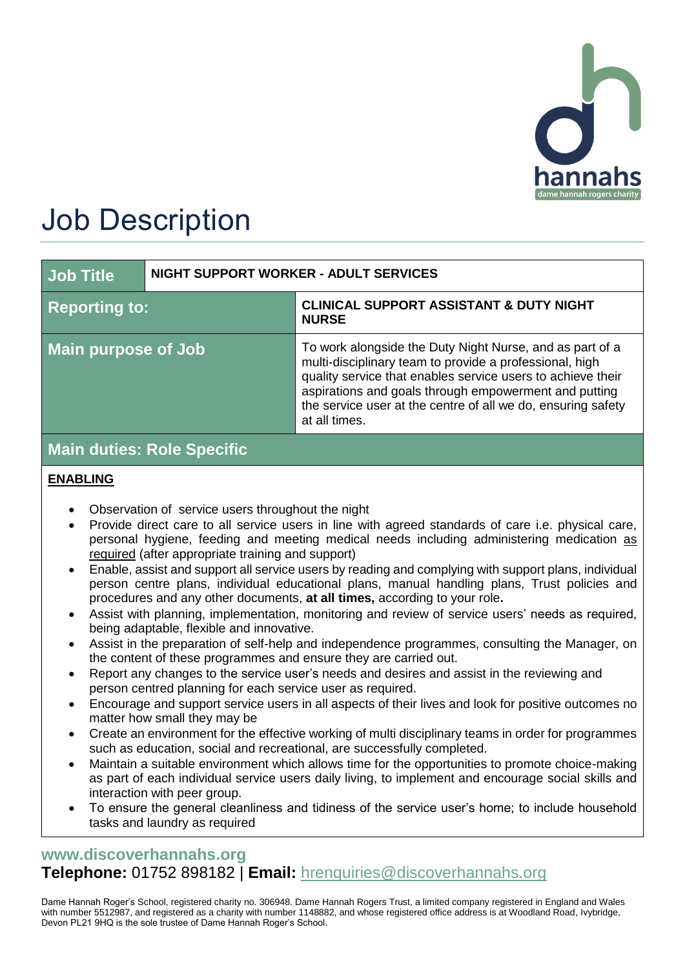

# Job Description

| <b>Job Title</b>              | <b>NIGHT SUPPORT WORKER - ADULT SERVICES</b> |                                                                                                                                                                                                                                                                                                                              |
|-------------------------------|----------------------------------------------|------------------------------------------------------------------------------------------------------------------------------------------------------------------------------------------------------------------------------------------------------------------------------------------------------------------------------|
| <b>Reporting to:</b>          |                                              | <b>CLINICAL SUPPORT ASSISTANT &amp; DUTY NIGHT</b><br><b>NURSE</b>                                                                                                                                                                                                                                                           |
| <b>Main purpose of Job</b>    |                                              | To work alongside the Duty Night Nurse, and as part of a<br>multi-disciplinary team to provide a professional, high<br>quality service that enables service users to achieve their<br>aspirations and goals through empowerment and putting<br>the service user at the centre of all we do, ensuring safety<br>at all times. |
| $M$ ain dutica. Dele Chaeifie |                                              |                                                                                                                                                                                                                                                                                                                              |

# **Main duties: Role Specific**

#### **ENABLING**

- Observation of service users throughout the night
- Provide direct care to all service users in line with agreed standards of care i.e. physical care, personal hygiene, feeding and meeting medical needs including administering medication as required (after appropriate training and support)
- Enable, assist and support all service users by reading and complying with support plans, individual person centre plans, individual educational plans, manual handling plans, Trust policies and procedures and any other documents, **at all times,** according to your role**.**
- Assist with planning, implementation, monitoring and review of service users' needs as required, being adaptable, flexible and innovative.
- Assist in the preparation of self-help and independence programmes, consulting the Manager, on the content of these programmes and ensure they are carried out.
- Report any changes to the service user's needs and desires and assist in the reviewing and person centred planning for each service user as required.
- Encourage and support service users in all aspects of their lives and look for positive outcomes no matter how small they may be
- Create an environment for the effective working of multi disciplinary teams in order for programmes such as education, social and recreational, are successfully completed.
- Maintain a suitable environment which allows time for the opportunities to promote choice-making as part of each individual service users daily living, to implement and encourage social skills and interaction with peer group.
- To ensure the general cleanliness and tidiness of the service user's home; to include household tasks and laundry as required

## **[www.discoverhannahs.org](http://www.discoverhannahs.org/) Telephone:** 01752 898182 | **Email:** [hrenquiries@discoverhannahs.org](mailto:enquiries@discoverhannahs.org)

Dame Hannah Roger's School, registered charity no. 306948. Dame Hannah Rogers Trust, a limited company registered in England and Wales with number 5512987, and registered as a charity with number 1148882, and whose registered office address is at Woodland Road, Ivybridge, Devon PL21 9HQ is the sole trustee of Dame Hannah Roger's School.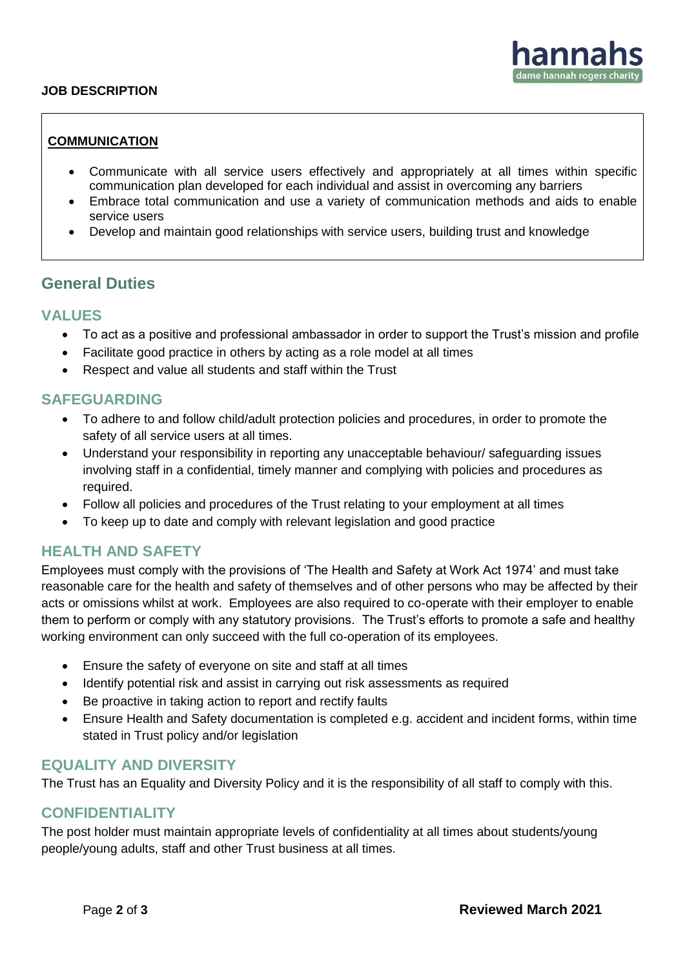#### **JOB DESCRIPTION**

#### **COMMUNICATION**

- Communicate with all service users effectively and appropriately at all times within specific communication plan developed for each individual and assist in overcoming any barriers
- Embrace total communication and use a variety of communication methods and aids to enable service users
- Develop and maintain good relationships with service users, building trust and knowledge

#### **General Duties**

#### **VALUES**

- To act as a positive and professional ambassador in order to support the Trust's mission and profile
- Facilitate good practice in others by acting as a role model at all times
- Respect and value all students and staff within the Trust

#### **SAFEGUARDING**

- To adhere to and follow child/adult protection policies and procedures, in order to promote the safety of all service users at all times.
- Understand your responsibility in reporting any unacceptable behaviour/ safeguarding issues involving staff in a confidential, timely manner and complying with policies and procedures as required.
- Follow all policies and procedures of the Trust relating to your employment at all times
- To keep up to date and comply with relevant legislation and good practice

#### **HEALTH AND SAFETY**

Employees must comply with the provisions of 'The Health and Safety at Work Act 1974' and must take reasonable care for the health and safety of themselves and of other persons who may be affected by their acts or omissions whilst at work. Employees are also required to co-operate with their employer to enable them to perform or comply with any statutory provisions. The Trust's efforts to promote a safe and healthy working environment can only succeed with the full co-operation of its employees.

- Ensure the safety of everyone on site and staff at all times
- Identify potential risk and assist in carrying out risk assessments as required
- Be proactive in taking action to report and rectify faults
- Ensure Health and Safety documentation is completed e.g. accident and incident forms, within time stated in Trust policy and/or legislation

#### **EQUALITY AND DIVERSITY**

The Trust has an Equality and Diversity Policy and it is the responsibility of all staff to comply with this.

#### **CONFIDENTIALITY**

The post holder must maintain appropriate levels of confidentiality at all times about students/young people/young adults, staff and other Trust business at all times.